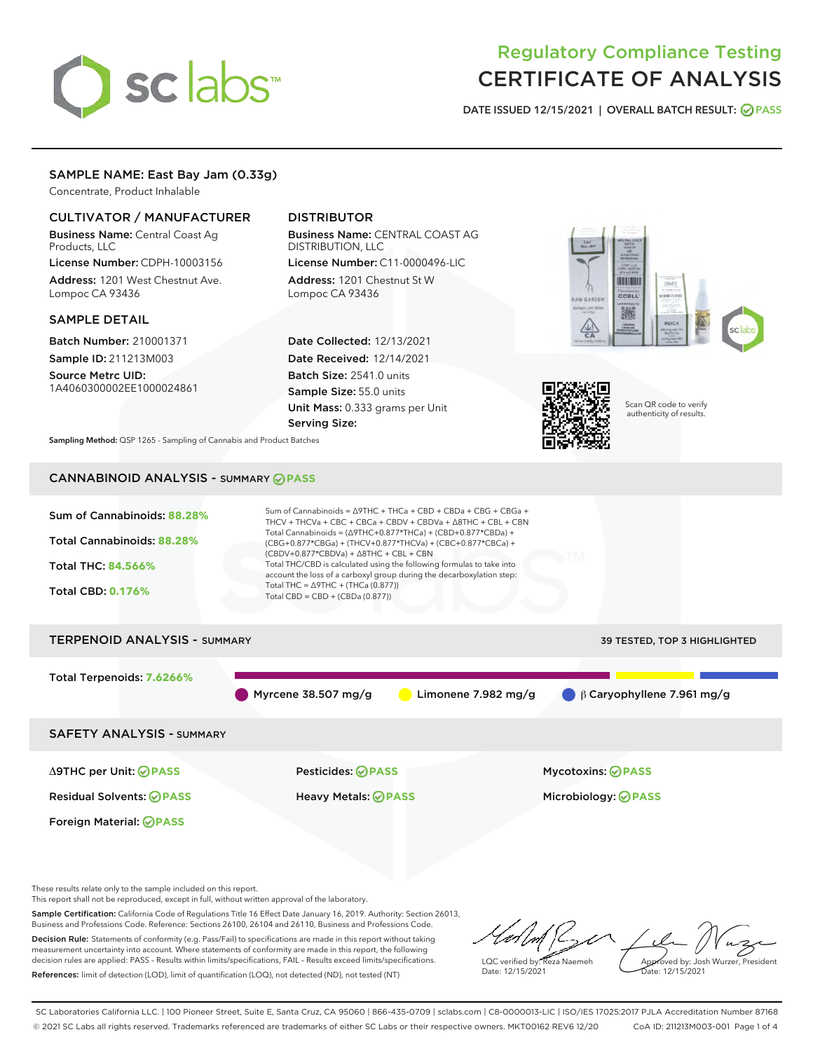# sclabs<sup>\*</sup>

# Regulatory Compliance Testing CERTIFICATE OF ANALYSIS

DATE ISSUED 12/15/2021 | OVERALL BATCH RESULT: @ PASS

# SAMPLE NAME: East Bay Jam (0.33g)

Concentrate, Product Inhalable

# CULTIVATOR / MANUFACTURER

Business Name: Central Coast Ag Products, LLC

License Number: CDPH-10003156 Address: 1201 West Chestnut Ave. Lompoc CA 93436

# SAMPLE DETAIL

Batch Number: 210001371 Sample ID: 211213M003

Source Metrc UID: 1A4060300002EE1000024861

# DISTRIBUTOR

Business Name: CENTRAL COAST AG DISTRIBUTION, LLC License Number: C11-0000496-LIC

Address: 1201 Chestnut St W Lompoc CA 93436

Date Collected: 12/13/2021 Date Received: 12/14/2021 Batch Size: 2541.0 units Sample Size: 55.0 units Unit Mass: 0.333 grams per Unit Serving Size:





Scan QR code to verify authenticity of results.

Sampling Method: QSP 1265 - Sampling of Cannabis and Product Batches

# CANNABINOID ANALYSIS - SUMMARY **PASS**



These results relate only to the sample included on this report.

This report shall not be reproduced, except in full, without written approval of the laboratory.

Sample Certification: California Code of Regulations Title 16 Effect Date January 16, 2019. Authority: Section 26013, Business and Professions Code. Reference: Sections 26100, 26104 and 26110, Business and Professions Code. Decision Rule: Statements of conformity (e.g. Pass/Fail) to specifications are made in this report without taking

measurement uncertainty into account. Where statements of conformity are made in this report, the following decision rules are applied: PASS – Results within limits/specifications, FAIL – Results exceed limits/specifications. References: limit of detection (LOD), limit of quantification (LOQ), not detected (ND), not tested (NT)

LQC verified by: Reza Naemeh Date: 12/15/2021 Approved by: Josh Wurzer, President Date: 12/15/2021

SC Laboratories California LLC. | 100 Pioneer Street, Suite E, Santa Cruz, CA 95060 | 866-435-0709 | sclabs.com | C8-0000013-LIC | ISO/IES 17025:2017 PJLA Accreditation Number 87168 © 2021 SC Labs all rights reserved. Trademarks referenced are trademarks of either SC Labs or their respective owners. MKT00162 REV6 12/20 CoA ID: 211213M003-001 Page 1 of 4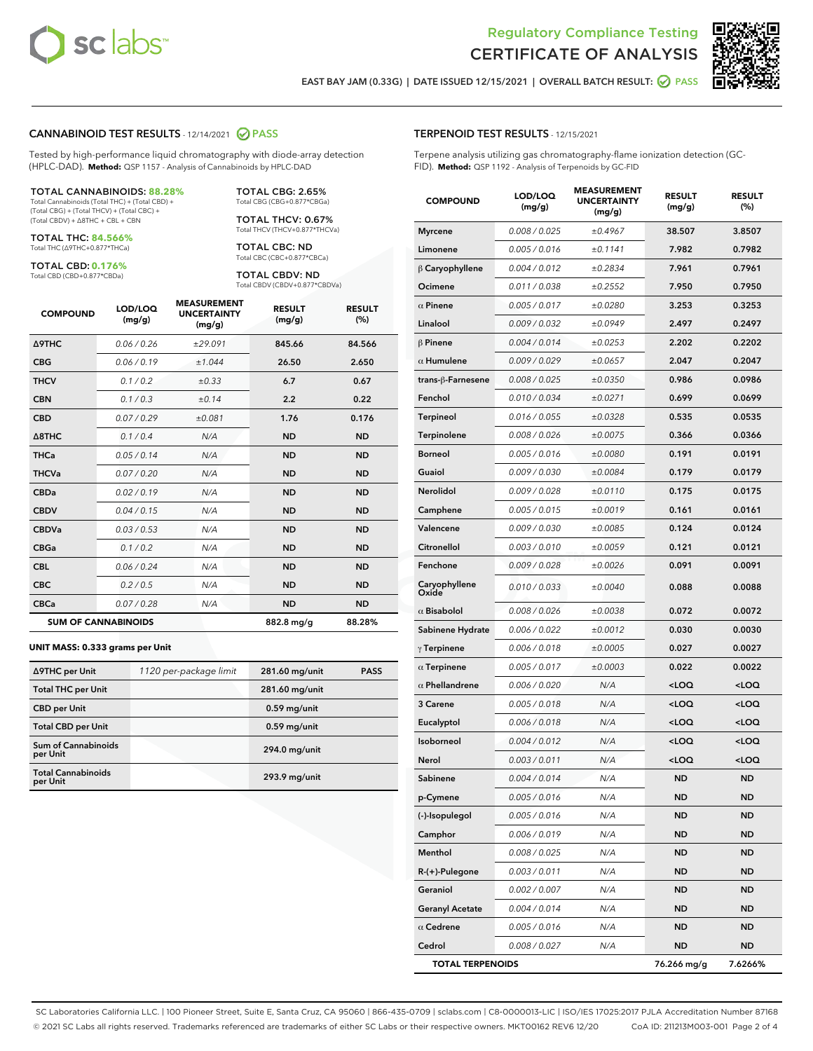



EAST BAY JAM (0.33G) | DATE ISSUED 12/15/2021 | OVERALL BATCH RESULT: 2 PASS

#### CANNABINOID TEST RESULTS - 12/14/2021 2 PASS

Tested by high-performance liquid chromatography with diode-array detection (HPLC-DAD). **Method:** QSP 1157 - Analysis of Cannabinoids by HPLC-DAD

#### TOTAL CANNABINOIDS: **88.28%**

Total Cannabinoids (Total THC) + (Total CBD) + (Total CBG) + (Total THCV) + (Total CBC) + (Total CBDV) + ∆8THC + CBL + CBN

TOTAL THC: **84.566%** Total THC (∆9THC+0.877\*THCa)

TOTAL CBD: **0.176%** Total CBD (CBD+0.877\*CBDa)

TOTAL THCV: 0.67% Total THCV (THCV+0.877\*THCVa)

TOTAL CBC: ND Total CBC (CBC+0.877\*CBCa)

TOTAL CBG: 2.65% Total CBG (CBG+0.877\*CBGa)

TOTAL CBDV: ND Total CBDV (CBDV+0.877\*CBDVa)

| <b>COMPOUND</b>            | LOD/LOQ<br>(mg/g) | <b>MEASUREMENT</b><br><b>UNCERTAINTY</b><br>(mg/g) | <b>RESULT</b><br>(mg/g) | <b>RESULT</b><br>(%) |
|----------------------------|-------------------|----------------------------------------------------|-------------------------|----------------------|
| <b>A9THC</b>               | 0.06 / 0.26       | ±29.091                                            | 845.66                  | 84.566               |
| <b>CBG</b>                 | 0.06/0.19         | ±1.044                                             | 26.50                   | 2.650                |
| <b>THCV</b>                | 0.1 / 0.2         | ±0.33                                              | 6.7                     | 0.67                 |
| <b>CBN</b>                 | 0.1/0.3           | ±0.14                                              | 2.2                     | 0.22                 |
| <b>CBD</b>                 | 0.07/0.29         | ±0.081                                             | 1.76                    | 0.176                |
| $\triangle$ 8THC           | 0.1/0.4           | N/A                                                | <b>ND</b>               | <b>ND</b>            |
| <b>THCa</b>                | 0.05/0.14         | N/A                                                | <b>ND</b>               | <b>ND</b>            |
| <b>THCVa</b>               | 0.07/0.20         | N/A                                                | <b>ND</b>               | <b>ND</b>            |
| <b>CBDa</b>                | 0.02/0.19         | N/A                                                | <b>ND</b>               | <b>ND</b>            |
| <b>CBDV</b>                | 0.04 / 0.15       | N/A                                                | <b>ND</b>               | <b>ND</b>            |
| <b>CBDVa</b>               | 0.03/0.53         | N/A                                                | <b>ND</b>               | <b>ND</b>            |
| <b>CBGa</b>                | 0.1/0.2           | N/A                                                | <b>ND</b>               | <b>ND</b>            |
| <b>CBL</b>                 | 0.06 / 0.24       | N/A                                                | <b>ND</b>               | <b>ND</b>            |
| <b>CBC</b>                 | 0.2 / 0.5         | N/A                                                | <b>ND</b>               | <b>ND</b>            |
| <b>CBCa</b>                | 0.07/0.28         | N/A                                                | <b>ND</b>               | <b>ND</b>            |
| <b>SUM OF CANNABINOIDS</b> |                   |                                                    | 882.8 mg/g              | 88.28%               |

#### **UNIT MASS: 0.333 grams per Unit**

| ∆9THC per Unit                         | 1120 per-package limit | 281.60 mg/unit | <b>PASS</b> |
|----------------------------------------|------------------------|----------------|-------------|
| <b>Total THC per Unit</b>              |                        | 281.60 mg/unit |             |
| <b>CBD</b> per Unit                    |                        | $0.59$ mg/unit |             |
| <b>Total CBD per Unit</b>              |                        | $0.59$ mg/unit |             |
| <b>Sum of Cannabinoids</b><br>per Unit |                        | 294.0 mg/unit  |             |
| <b>Total Cannabinoids</b><br>per Unit  |                        | 293.9 mg/unit  |             |

# TERPENOID TEST RESULTS - 12/15/2021

Terpene analysis utilizing gas chromatography-flame ionization detection (GC-FID). **Method:** QSP 1192 - Analysis of Terpenoids by GC-FID

| <b>COMPOUND</b>         | LOD/LOQ<br>(mg/g) | <b>MEASUREMENT</b><br><b>UNCERTAINTY</b><br>(mg/g) | <b>RESULT</b><br>(mg/g)                         | <b>RESULT</b><br>(%) |
|-------------------------|-------------------|----------------------------------------------------|-------------------------------------------------|----------------------|
| <b>Myrcene</b>          | 0.008 / 0.025     | ±0.4967                                            | 38.507                                          | 3.8507               |
| Limonene                | 0.005 / 0.016     | ±0.1141                                            | 7.982                                           | 0.7982               |
| $\upbeta$ Caryophyllene | 0.004 / 0.012     | ±0.2834                                            | 7.961                                           | 0.7961               |
| Ocimene                 | 0.011 / 0.038     | ±0.2552                                            | 7.950                                           | 0.7950               |
| $\alpha$ Pinene         | 0.005 / 0.017     | ±0.0280                                            | 3.253                                           | 0.3253               |
| Linalool                | 0.009 / 0.032     | ±0.0949                                            | 2.497                                           | 0.2497               |
| $\beta$ Pinene          | 0.004 / 0.014     | ±0.0253                                            | 2.202                                           | 0.2202               |
| $\alpha$ Humulene       | 0.009 / 0.029     | ±0.0657                                            | 2.047                                           | 0.2047               |
| trans-ß-Farnesene       | 0.008 / 0.025     | ±0.0350                                            | 0.986                                           | 0.0986               |
| Fenchol                 | 0.010 / 0.034     | ±0.0271                                            | 0.699                                           | 0.0699               |
| Terpineol               | 0.016 / 0.055     | ±0.0328                                            | 0.535                                           | 0.0535               |
| Terpinolene             | 0.008 / 0.026     | ±0.0075                                            | 0.366                                           | 0.0366               |
| <b>Borneol</b>          | 0.005 / 0.016     | ±0.0080                                            | 0.191                                           | 0.0191               |
| Guaiol                  | 0.009 / 0.030     | ±0.0084                                            | 0.179                                           | 0.0179               |
| Nerolidol               | 0.009 / 0.028     | ±0.0110                                            | 0.175                                           | 0.0175               |
| Camphene                | 0.005 / 0.015     | ±0.0019                                            | 0.161                                           | 0.0161               |
| Valencene               | 0.009 / 0.030     | ±0.0085                                            | 0.124                                           | 0.0124               |
| Citronellol             | 0.003 / 0.010     | ±0.0059                                            | 0.121                                           | 0.0121               |
| Fenchone                | 0.009 / 0.028     | ±0.0026                                            | 0.091                                           | 0.0091               |
| Caryophyllene<br>Oxide  | 0.010 / 0.033     | ±0.0040                                            | 0.088                                           | 0.0088               |
| $\alpha$ Bisabolol      | 0.008 / 0.026     | ±0.0038                                            | 0.072                                           | 0.0072               |
| Sabinene Hydrate        | 0.006 / 0.022     | ±0.0012                                            | 0.030                                           | 0.0030               |
| $\gamma$ Terpinene      | 0.006 / 0.018     | ±0.0005                                            | 0.027                                           | 0.0027               |
| $\alpha$ Terpinene      | 0.005 / 0.017     | ±0.0003                                            | 0.022                                           | 0.0022               |
| $\alpha$ Phellandrene   | 0.006 / 0.020     | N/A                                                | <loq< th=""><th><loq< th=""></loq<></th></loq<> | <loq< th=""></loq<>  |
| <b>3 Carene</b>         | 0.005 / 0.018     | N/A                                                | <loq< th=""><th><loq< th=""></loq<></th></loq<> | <loq< th=""></loq<>  |
| Eucalyptol              | 0.006 / 0.018     | N/A                                                | $<$ LOQ                                         | <loq< th=""></loq<>  |
| Isoborneol              | 0.004 / 0.012     | N/A                                                | <loq< th=""><th><loq< th=""></loq<></th></loq<> | <loq< th=""></loq<>  |
| Nerol                   | 0.003 / 0.011     | N/A                                                | <loq< th=""><th><loq< th=""></loq<></th></loq<> | <loq< th=""></loq<>  |
| Sabinene                | 0.004 / 0.014     | N/A                                                | <b>ND</b>                                       | <b>ND</b>            |
| p-Cymene                | 0.005 / 0.016     | N/A                                                | ND                                              | ND                   |
| (-)-Isopulegol          | 0.005 / 0.016     | N/A                                                | ND                                              | ND                   |
| Camphor                 | 0.006 / 0.019     | N/A                                                | ND                                              | ND                   |
| Menthol                 | 0.008 / 0.025     | N/A                                                | ND                                              | ND                   |
| R-(+)-Pulegone          | 0.003 / 0.011     | N/A                                                | ND                                              | ND                   |
| Geraniol                | 0.002 / 0.007     | N/A                                                | ND                                              | ND                   |
| <b>Geranyl Acetate</b>  | 0.004 / 0.014     | N/A                                                | ND                                              | ND                   |
| $\alpha$ Cedrene        | 0.005 / 0.016     | N/A                                                | ND                                              | ND                   |
| Cedrol                  | 0.008 / 0.027     | N/A                                                | <b>ND</b>                                       | ND                   |
| <b>TOTAL TERPENOIDS</b> |                   |                                                    | 76.266 mg/g                                     | 7.6266%              |

SC Laboratories California LLC. | 100 Pioneer Street, Suite E, Santa Cruz, CA 95060 | 866-435-0709 | sclabs.com | C8-0000013-LIC | ISO/IES 17025:2017 PJLA Accreditation Number 87168 © 2021 SC Labs all rights reserved. Trademarks referenced are trademarks of either SC Labs or their respective owners. MKT00162 REV6 12/20 CoA ID: 211213M003-001 Page 2 of 4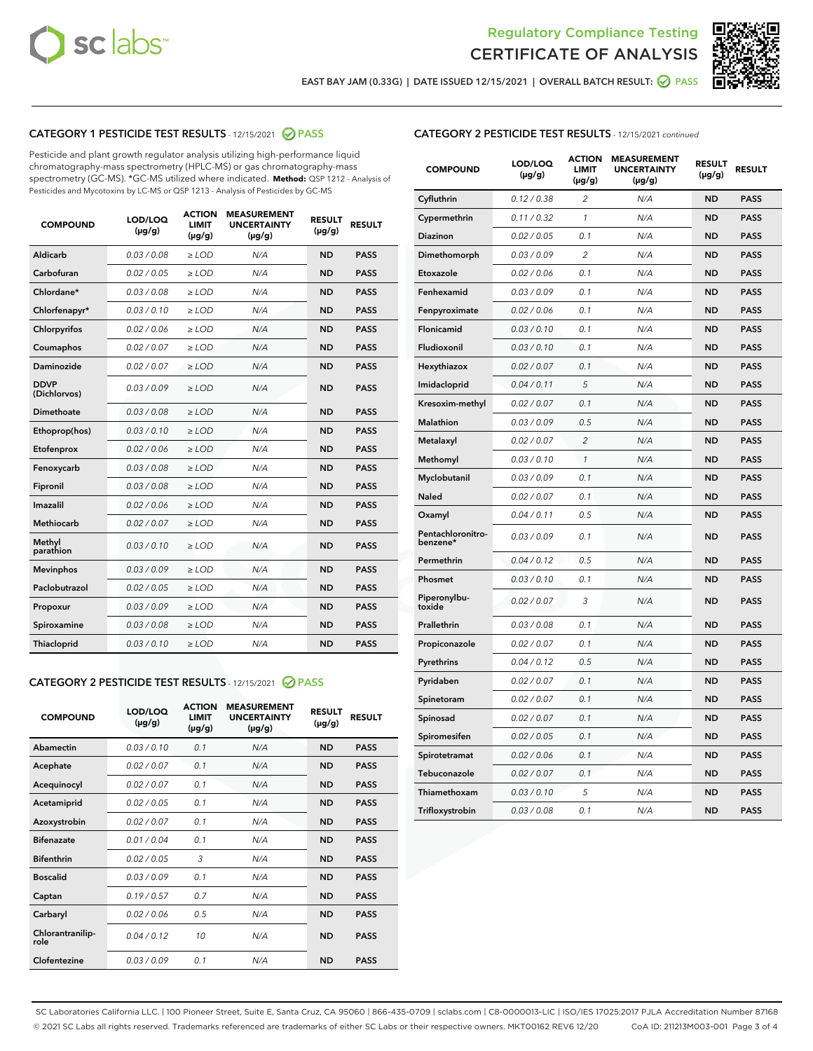



EAST BAY JAM (0.33G) | DATE ISSUED 12/15/2021 | OVERALL BATCH RESULT:  $\bigcirc$  PASS

# CATEGORY 1 PESTICIDE TEST RESULTS - 12/15/2021 2 PASS

Pesticide and plant growth regulator analysis utilizing high-performance liquid chromatography-mass spectrometry (HPLC-MS) or gas chromatography-mass spectrometry (GC-MS). \*GC-MS utilized where indicated. **Method:** QSP 1212 - Analysis of Pesticides and Mycotoxins by LC-MS or QSP 1213 - Analysis of Pesticides by GC-MS

| <b>COMPOUND</b>             | LOD/LOQ<br>$(\mu g/g)$ | <b>ACTION</b><br><b>LIMIT</b><br>$(\mu g/g)$ | <b>MEASUREMENT</b><br><b>UNCERTAINTY</b><br>$(\mu g/g)$ | <b>RESULT</b><br>$(\mu g/g)$ | <b>RESULT</b> |
|-----------------------------|------------------------|----------------------------------------------|---------------------------------------------------------|------------------------------|---------------|
| Aldicarb                    | 0.03 / 0.08            | $\ge$ LOD                                    | N/A                                                     | <b>ND</b>                    | <b>PASS</b>   |
| Carbofuran                  | 0.02/0.05              | $>$ LOD                                      | N/A                                                     | <b>ND</b>                    | <b>PASS</b>   |
| Chlordane*                  | 0.03 / 0.08            | $\ge$ LOD                                    | N/A                                                     | <b>ND</b>                    | <b>PASS</b>   |
| Chlorfenapyr*               | 0.03/0.10              | $\ge$ LOD                                    | N/A                                                     | <b>ND</b>                    | <b>PASS</b>   |
| Chlorpyrifos                | 0.02 / 0.06            | $\ge$ LOD                                    | N/A                                                     | <b>ND</b>                    | <b>PASS</b>   |
| Coumaphos                   | 0.02/0.07              | $>$ LOD                                      | N/A                                                     | <b>ND</b>                    | <b>PASS</b>   |
| <b>Daminozide</b>           | 0.02 / 0.07            | $\ge$ LOD                                    | N/A                                                     | <b>ND</b>                    | <b>PASS</b>   |
| <b>DDVP</b><br>(Dichlorvos) | 0.03/0.09              | $\ge$ LOD                                    | N/A                                                     | <b>ND</b>                    | <b>PASS</b>   |
| <b>Dimethoate</b>           | 0.03 / 0.08            | $\ge$ LOD                                    | N/A                                                     | <b>ND</b>                    | <b>PASS</b>   |
| Ethoprop(hos)               | 0.03/0.10              | $\ge$ LOD                                    | N/A                                                     | <b>ND</b>                    | <b>PASS</b>   |
| Etofenprox                  | 0.02 / 0.06            | $\ge$ LOD                                    | N/A                                                     | <b>ND</b>                    | <b>PASS</b>   |
| Fenoxycarb                  | 0.03 / 0.08            | $\ge$ LOD                                    | N/A                                                     | <b>ND</b>                    | <b>PASS</b>   |
| Fipronil                    | 0.03/0.08              | $>$ LOD                                      | N/A                                                     | <b>ND</b>                    | <b>PASS</b>   |
| Imazalil                    | 0.02 / 0.06            | $\ge$ LOD                                    | N/A                                                     | <b>ND</b>                    | <b>PASS</b>   |
| Methiocarb                  | 0.02 / 0.07            | $\ge$ LOD                                    | N/A                                                     | <b>ND</b>                    | <b>PASS</b>   |
| Methyl<br>parathion         | 0.03/0.10              | $>$ LOD                                      | N/A                                                     | <b>ND</b>                    | <b>PASS</b>   |
| <b>Mevinphos</b>            | 0.03/0.09              | $>$ LOD                                      | N/A                                                     | <b>ND</b>                    | <b>PASS</b>   |
| Paclobutrazol               | 0.02 / 0.05            | $\ge$ LOD                                    | N/A                                                     | <b>ND</b>                    | <b>PASS</b>   |
| Propoxur                    | 0.03/0.09              | $>$ LOD                                      | N/A                                                     | <b>ND</b>                    | <b>PASS</b>   |
| Spiroxamine                 | 0.03 / 0.08            | $\ge$ LOD                                    | N/A                                                     | <b>ND</b>                    | <b>PASS</b>   |
| Thiacloprid                 | 0.03/0.10              | $\ge$ LOD                                    | N/A                                                     | <b>ND</b>                    | <b>PASS</b>   |

#### CATEGORY 2 PESTICIDE TEST RESULTS - 12/15/2021 @ PASS

| <b>COMPOUND</b>          | LOD/LOO<br>$(\mu g/g)$ | <b>ACTION</b><br>LIMIT<br>$(\mu g/g)$ | <b>MEASUREMENT</b><br><b>UNCERTAINTY</b><br>$(\mu g/g)$ | <b>RESULT</b><br>$(\mu g/g)$ | <b>RESULT</b> |  |
|--------------------------|------------------------|---------------------------------------|---------------------------------------------------------|------------------------------|---------------|--|
| Abamectin                | 0.03/0.10              | 0.1                                   | N/A                                                     | <b>ND</b>                    | <b>PASS</b>   |  |
| Acephate                 | 0.02/0.07              | 0.1                                   | N/A                                                     | <b>ND</b>                    | <b>PASS</b>   |  |
| Acequinocyl              | 0.02/0.07              | 0.1                                   | N/A                                                     | <b>ND</b>                    | <b>PASS</b>   |  |
| Acetamiprid              | 0.02 / 0.05            | 0.1                                   | N/A                                                     | <b>ND</b>                    | <b>PASS</b>   |  |
| Azoxystrobin             | 0.02/0.07              | 0.1                                   | N/A                                                     | <b>ND</b>                    | <b>PASS</b>   |  |
| <b>Bifenazate</b>        | 0.01 / 0.04            | 0.1                                   | N/A                                                     | <b>ND</b>                    | <b>PASS</b>   |  |
| <b>Bifenthrin</b>        | 0.02 / 0.05            | 3                                     | N/A                                                     | <b>ND</b>                    | <b>PASS</b>   |  |
| <b>Boscalid</b>          | 0.03/0.09              | 0.1                                   | N/A                                                     | <b>ND</b>                    | <b>PASS</b>   |  |
| Captan                   | 0.19/0.57              | 0.7                                   | N/A                                                     | <b>ND</b>                    | <b>PASS</b>   |  |
| Carbaryl                 | 0.02/0.06              | 0.5                                   | N/A                                                     | <b>ND</b>                    | <b>PASS</b>   |  |
| Chlorantranilip-<br>role | 0.04/0.12              | 10                                    | N/A                                                     | <b>ND</b>                    | <b>PASS</b>   |  |
| Clofentezine             | 0.03/0.09              | 0.1                                   | N/A                                                     | <b>ND</b>                    | <b>PASS</b>   |  |

| <b>COMPOUND</b>               | LOD/LOQ<br>(µg/g) | <b>ACTION</b><br><b>LIMIT</b><br>(µg/g) | <b>MEASUREMENT</b><br><b>UNCERTAINTY</b><br>$(\mu g/g)$ | <b>RESULT</b><br>(µg/g) | <b>RESULT</b> |
|-------------------------------|-------------------|-----------------------------------------|---------------------------------------------------------|-------------------------|---------------|
| Cyfluthrin                    | 0.12 / 0.38       | $\overline{c}$                          | N/A                                                     | <b>ND</b>               | <b>PASS</b>   |
| Cypermethrin                  | 0.11 / 0.32       | 1                                       | N/A                                                     | <b>ND</b>               | <b>PASS</b>   |
| <b>Diazinon</b>               | 0.02 / 0.05       | 0.1                                     | N/A                                                     | <b>ND</b>               | <b>PASS</b>   |
| Dimethomorph                  | 0.03 / 0.09       | 2                                       | N/A                                                     | <b>ND</b>               | <b>PASS</b>   |
| Etoxazole                     | 0.02 / 0.06       | 0.1                                     | N/A                                                     | <b>ND</b>               | <b>PASS</b>   |
| Fenhexamid                    | 0.03 / 0.09       | 0.1                                     | N/A                                                     | <b>ND</b>               | <b>PASS</b>   |
| Fenpyroximate                 | 0.02 / 0.06       | 0.1                                     | N/A                                                     | <b>ND</b>               | <b>PASS</b>   |
| Flonicamid                    | 0.03 / 0.10       | 0.1                                     | N/A                                                     | <b>ND</b>               | <b>PASS</b>   |
| Fludioxonil                   | 0.03 / 0.10       | 0.1                                     | N/A                                                     | <b>ND</b>               | <b>PASS</b>   |
| Hexythiazox                   | 0.02 / 0.07       | 0.1                                     | N/A                                                     | <b>ND</b>               | <b>PASS</b>   |
| Imidacloprid                  | 0.04 / 0.11       | 5                                       | N/A                                                     | <b>ND</b>               | <b>PASS</b>   |
| Kresoxim-methyl               | 0.02 / 0.07       | 0.1                                     | N/A                                                     | <b>ND</b>               | <b>PASS</b>   |
| Malathion                     | 0.03 / 0.09       | 0.5                                     | N/A                                                     | <b>ND</b>               | <b>PASS</b>   |
| Metalaxyl                     | 0.02 / 0.07       | $\overline{c}$                          | N/A                                                     | <b>ND</b>               | <b>PASS</b>   |
| Methomyl                      | 0.03 / 0.10       | $\mathcal{I}$                           | N/A                                                     | <b>ND</b>               | <b>PASS</b>   |
| Myclobutanil                  | 0.03 / 0.09       | 0.1                                     | N/A                                                     | <b>ND</b>               | <b>PASS</b>   |
| <b>Naled</b>                  | 0.02 / 0.07       | 0.1                                     | N/A                                                     | <b>ND</b>               | <b>PASS</b>   |
| Oxamyl                        | 0.04 / 0.11       | 0.5                                     | N/A                                                     | <b>ND</b>               | <b>PASS</b>   |
| Pentachloronitro-<br>benzene* | 0.03/0.09         | 0.1                                     | N/A                                                     | <b>ND</b>               | <b>PASS</b>   |
| Permethrin                    | 0.04 / 0.12       | 0.5                                     | N/A                                                     | <b>ND</b>               | <b>PASS</b>   |
| Phosmet                       | 0.03 / 0.10       | 0.1                                     | N/A                                                     | <b>ND</b>               | <b>PASS</b>   |
| Piperonylbu-<br>toxide        | 0.02 / 0.07       | 3                                       | N/A                                                     | <b>ND</b>               | <b>PASS</b>   |
| Prallethrin                   | 0.03 / 0.08       | 0.1                                     | N/A                                                     | <b>ND</b>               | <b>PASS</b>   |
| Propiconazole                 | 0.02 / 0.07       | 0.1                                     | N/A                                                     | <b>ND</b>               | <b>PASS</b>   |
| Pyrethrins                    | 0.04 / 0.12       | 0.5                                     | N/A                                                     | <b>ND</b>               | <b>PASS</b>   |
| Pyridaben                     | 0.02 / 0.07       | 0.1                                     | N/A                                                     | <b>ND</b>               | <b>PASS</b>   |
| Spinetoram                    | 0.02 / 0.07       | 0.1                                     | N/A                                                     | <b>ND</b>               | <b>PASS</b>   |
| Spinosad                      | 0.02 / 0.07       | 0.1                                     | N/A                                                     | <b>ND</b>               | <b>PASS</b>   |
| Spiromesifen                  | 0.02 / 0.05       | 0.1                                     | N/A                                                     | <b>ND</b>               | <b>PASS</b>   |
| Spirotetramat                 | 0.02 / 0.06       | 0.1                                     | N/A                                                     | ND                      | <b>PASS</b>   |
| Tebuconazole                  | 0.02 / 0.07       | 0.1                                     | N/A                                                     | <b>ND</b>               | <b>PASS</b>   |
| Thiamethoxam                  | 0.03 / 0.10       | 5                                       | N/A                                                     | <b>ND</b>               | <b>PASS</b>   |
| Trifloxystrobin               | 0.03 / 0.08       | 0.1                                     | N/A                                                     | <b>ND</b>               | <b>PASS</b>   |

SC Laboratories California LLC. | 100 Pioneer Street, Suite E, Santa Cruz, CA 95060 | 866-435-0709 | sclabs.com | C8-0000013-LIC | ISO/IES 17025:2017 PJLA Accreditation Number 87168 © 2021 SC Labs all rights reserved. Trademarks referenced are trademarks of either SC Labs or their respective owners. MKT00162 REV6 12/20 CoA ID: 211213M003-001 Page 3 of 4